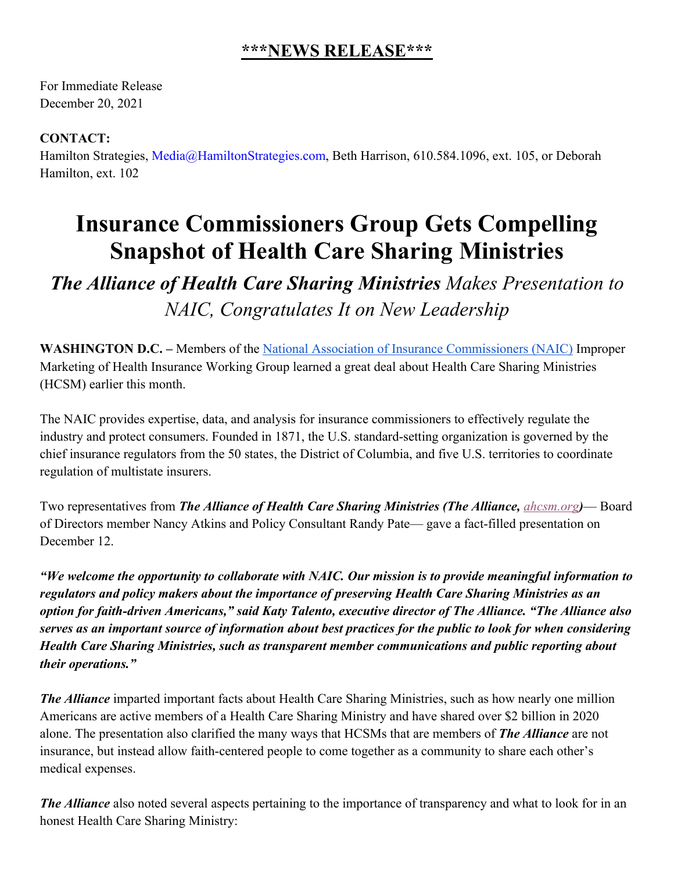## **\*\*\*NEWS RELEASE\*\*\***

For Immediate Release December 20, 2021

## **CONTACT:**

Hamilton Strategies, Media@HamiltonStrategies.com, Beth Harrison, 610.584.1096, ext. 105, or Deborah Hamilton, ext. 102

## **Insurance Commissioners Group Gets Compelling Snapshot of Health Care Sharing Ministries**

*The Alliance of Health Care Sharing Ministries Makes Presentation to NAIC, Congratulates It on New Leadership*

**WASHINGTON D.C. –** Members of the National Association of Insurance Commissioners (NAIC) Improper Marketing of Health Insurance Working Group learned a great deal about Health Care Sharing Ministries (HCSM) earlier this month.

The NAIC provides expertise, data, and analysis for insurance commissioners to effectively regulate the industry and protect consumers. Founded in 1871, the U.S. standard-setting organization is governed by the chief insurance regulators from the 50 states, the District of Columbia, and five U.S. territories to coordinate regulation of multistate insurers.

Two representatives from *The Alliance of Health Care Sharing Ministries (The Alliance, ahcsm.org)*— Board of Directors member Nancy Atkins and Policy Consultant Randy Pate— gave a fact-filled presentation on December 12.

*"We welcome the opportunity to collaborate with NAIC. Our mission is to provide meaningful information to regulators and policy makers about the importance of preserving Health Care Sharing Ministries as an option for faith-driven Americans," said Katy Talento, executive director of The Alliance. "The Alliance also serves as an important source of information about best practices for the public to look for when considering Health Care Sharing Ministries, such as transparent member communications and public reporting about their operations."*

*The Alliance* imparted important facts about Health Care Sharing Ministries, such as how nearly one million Americans are active members of a Health Care Sharing Ministry and have shared over \$2 billion in 2020 alone. The presentation also clarified the many ways that HCSMs that are members of *The Alliance* are not insurance, but instead allow faith-centered people to come together as a community to share each other's medical expenses.

*The Alliance* also noted several aspects pertaining to the importance of transparency and what to look for in an honest Health Care Sharing Ministry: